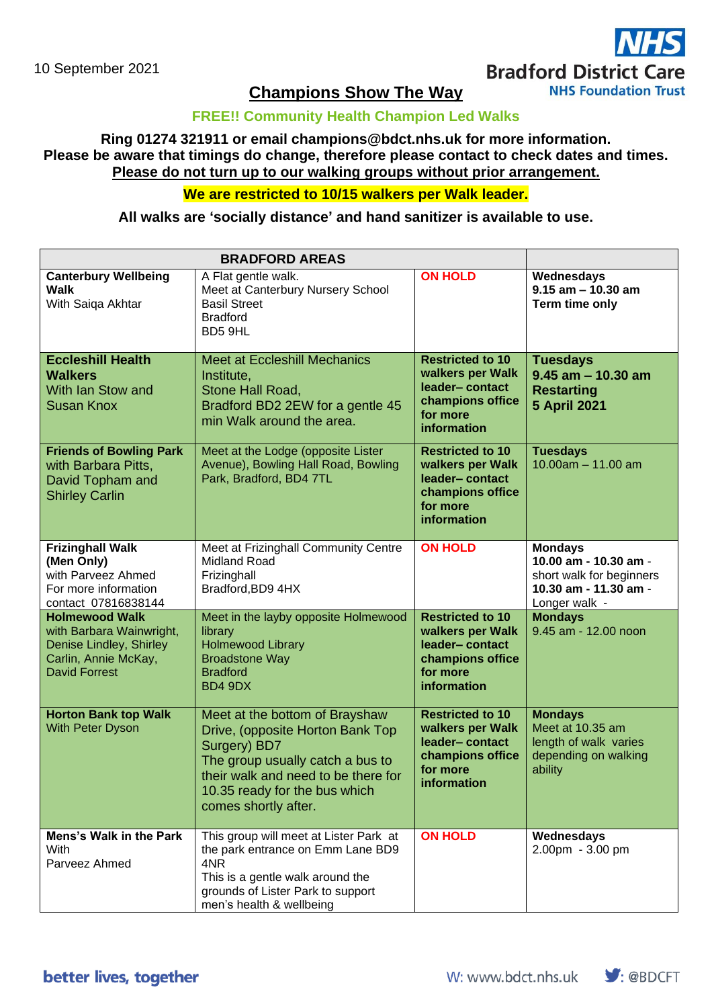# **Bradford District Care**

**NHS Foundation Trust** 

# **FREE!! Community Health Champion Led Walks**

# **Ring 01274 321911 or email champions@bdct.nhs.uk for more information. Please be aware that timings do change, therefore please contact to check dates and times. Please do not turn up to our walking groups without prior arrangement.**

# **We are restricted to 10/15 walkers per Walk leader.**

#### **All walks are 'socially distance' and hand sanitizer is available to use.**

| <b>BRADFORD AREAS</b>                                                                                                        |                                                                                                                                                                                                                        |                                                                                                              |                                                                                                               |
|------------------------------------------------------------------------------------------------------------------------------|------------------------------------------------------------------------------------------------------------------------------------------------------------------------------------------------------------------------|--------------------------------------------------------------------------------------------------------------|---------------------------------------------------------------------------------------------------------------|
| <b>Canterbury Wellbeing</b><br><b>Walk</b><br>With Saiqa Akhtar                                                              | A Flat gentle walk.<br>Meet at Canterbury Nursery School<br><b>Basil Street</b><br><b>Bradford</b><br>BD5 9HL                                                                                                          | <b>ON HOLD</b>                                                                                               | Wednesdays<br>$9.15$ am $- 10.30$ am<br>Term time only                                                        |
| <b>Eccleshill Health</b><br><b>Walkers</b><br>With Ian Stow and<br><b>Susan Knox</b>                                         | <b>Meet at Eccleshill Mechanics</b><br>Institute,<br>Stone Hall Road,<br>Bradford BD2 2EW for a gentle 45<br>min Walk around the area.                                                                                 | <b>Restricted to 10</b><br>walkers per Walk<br>leader-contact<br>champions office<br>for more<br>information | <b>Tuesdays</b><br>$9.45$ am $-10.30$ am<br><b>Restarting</b><br><b>5 April 2021</b>                          |
| <b>Friends of Bowling Park</b><br>with Barbara Pitts,<br>David Topham and<br><b>Shirley Carlin</b>                           | Meet at the Lodge (opposite Lister<br>Avenue), Bowling Hall Road, Bowling<br>Park, Bradford, BD4 7TL                                                                                                                   | <b>Restricted to 10</b><br>walkers per Walk<br>leader-contact<br>champions office<br>for more<br>information | <b>Tuesdays</b><br>$10.00$ am $- 11.00$ am                                                                    |
| <b>Frizinghall Walk</b><br>(Men Only)<br>with Parveez Ahmed<br>For more information<br>contact 07816838144                   | Meet at Frizinghall Community Centre<br><b>Midland Road</b><br>Frizinghall<br>Bradford, BD9 4HX                                                                                                                        | <b>ON HOLD</b>                                                                                               | <b>Mondays</b><br>10.00 am - 10.30 am -<br>short walk for beginners<br>10.30 am - 11.30 am -<br>Longer walk - |
| <b>Holmewood Walk</b><br>with Barbara Wainwright,<br>Denise Lindley, Shirley<br>Carlin, Annie McKay,<br><b>David Forrest</b> | Meet in the layby opposite Holmewood<br>library<br><b>Holmewood Library</b><br><b>Broadstone Way</b><br><b>Bradford</b><br>BD4 9DX                                                                                     | <b>Restricted to 10</b><br>walkers per Walk<br>leader-contact<br>champions office<br>for more<br>information | <b>Mondays</b><br>9.45 am - 12.00 noon                                                                        |
| <b>Horton Bank top Walk</b><br><b>With Peter Dyson</b>                                                                       | Meet at the bottom of Brayshaw<br>Drive, (opposite Horton Bank Top<br>Surgery) BD7<br>The group usually catch a bus to<br>their walk and need to be there for<br>10.35 ready for the bus which<br>comes shortly after. | <b>Restricted to 10</b><br>walkers per Walk<br>leader-contact<br>champions office<br>for more<br>information | <b>Mondays</b><br>Meet at 10.35 am<br>length of walk varies<br>depending on walking<br>ability                |
| Mens's Walk in the Park<br>With<br>Parveez Ahmed                                                                             | This group will meet at Lister Park at<br>the park entrance on Emm Lane BD9<br>4NR<br>This is a gentle walk around the<br>grounds of Lister Park to support<br>men's health & wellbeing                                | <b>ON HOLD</b>                                                                                               | Wednesdays<br>2.00pm - 3.00 pm                                                                                |

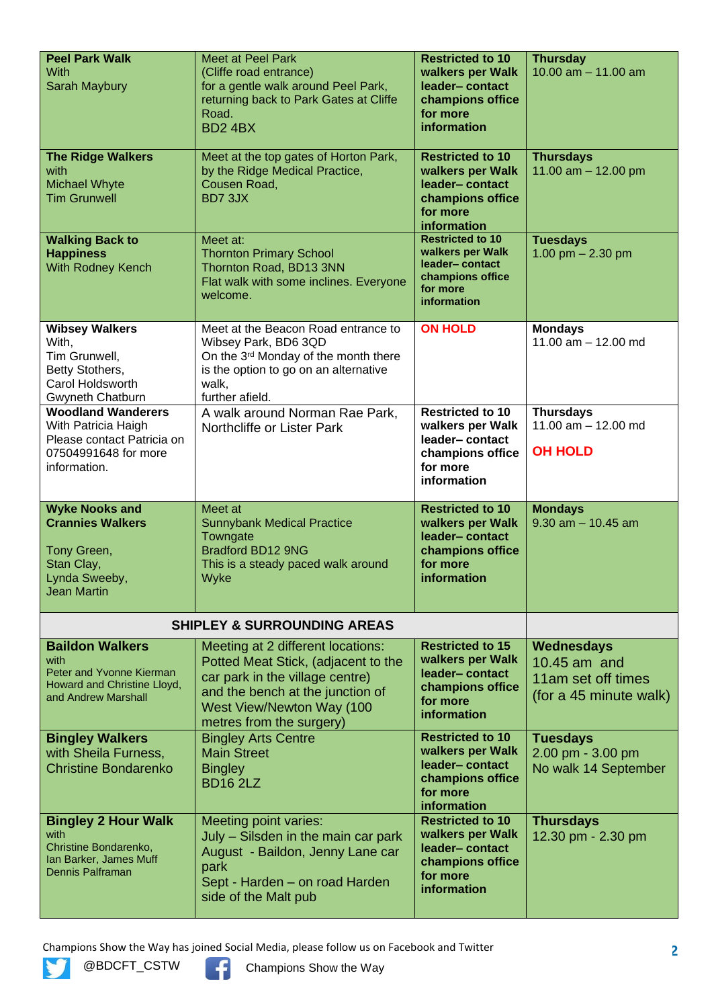| <b>Peel Park Walk</b><br>With<br>Sarah Maybury                                                                         | <b>Meet at Peel Park</b><br>(Cliffe road entrance)<br>for a gentle walk around Peel Park,<br>returning back to Park Gates at Cliffe<br>Road.<br><b>BD2 4BX</b>                                           | <b>Restricted to 10</b><br>walkers per Walk<br>leader-contact<br>champions office<br>for more<br>information | <b>Thursday</b><br>10.00 $am - 11.00$ am                                   |
|------------------------------------------------------------------------------------------------------------------------|----------------------------------------------------------------------------------------------------------------------------------------------------------------------------------------------------------|--------------------------------------------------------------------------------------------------------------|----------------------------------------------------------------------------|
| <b>The Ridge Walkers</b><br>with<br><b>Michael Whyte</b><br><b>Tim Grunwell</b>                                        | Meet at the top gates of Horton Park,<br>by the Ridge Medical Practice,<br>Cousen Road,<br>BD73JX                                                                                                        | <b>Restricted to 10</b><br>walkers per Walk<br>leader-contact<br>champions office<br>for more<br>information | <b>Thursdays</b><br>11.00 $am - 12.00$ pm                                  |
| <b>Walking Back to</b><br><b>Happiness</b><br><b>With Rodney Kench</b>                                                 | Meet at:<br><b>Thornton Primary School</b><br>Thornton Road, BD13 3NN<br>Flat walk with some inclines. Everyone<br>welcome.                                                                              | <b>Restricted to 10</b><br>walkers per Walk<br>leader-contact<br>champions office<br>for more<br>information | <b>Tuesdays</b><br>1.00 pm $- 2.30$ pm                                     |
| <b>Wibsey Walkers</b><br>With,<br>Tim Grunwell,<br>Betty Stothers,<br>Carol Holdsworth<br>Gwyneth Chatburn             | Meet at the Beacon Road entrance to<br>Wibsey Park, BD6 3QD<br>On the 3rd Monday of the month there<br>is the option to go on an alternative<br>walk,<br>further afield.                                 | <b>ON HOLD</b>                                                                                               | <b>Mondays</b><br>11.00 $am - 12.00$ md                                    |
| <b>Woodland Wanderers</b><br>With Patricia Haigh<br>Please contact Patricia on<br>07504991648 for more<br>information. | A walk around Norman Rae Park,<br>Northcliffe or Lister Park                                                                                                                                             | <b>Restricted to 10</b><br>walkers per Walk<br>leader-contact<br>champions office<br>for more<br>information | <b>Thursdays</b><br>11.00 $am - 12.00$ md<br><b>OH HOLD</b>                |
| <b>Wyke Nooks and</b><br><b>Crannies Walkers</b><br>Tony Green,<br>Stan Clay,<br>Lynda Sweeby,<br><b>Jean Martin</b>   | Meet at<br><b>Sunnybank Medical Practice</b><br>Towngate<br>Bradford BD12 9NG<br>This is a steady paced walk around<br>Wyke                                                                              | <b>Restricted to 10</b><br>walkers per Walk<br>leader-contact<br>champions office<br>for more<br>information | <b>Mondays</b><br>$9.30$ am $- 10.45$ am                                   |
|                                                                                                                        | <b>SHIPLEY &amp; SURROUNDING AREAS</b>                                                                                                                                                                   |                                                                                                              |                                                                            |
| <b>Baildon Walkers</b><br>with<br>Peter and Yvonne Kierman<br>Howard and Christine Lloyd,<br>and Andrew Marshall       | Meeting at 2 different locations:<br>Potted Meat Stick, (adjacent to the<br>car park in the village centre)<br>and the bench at the junction of<br>West View/Newton Way (100<br>metres from the surgery) | <b>Restricted to 15</b><br>walkers per Walk<br>leader-contact<br>champions office<br>for more<br>information | Wednesdays<br>10.45 am and<br>11am set off times<br>(for a 45 minute walk) |
| <b>Bingley Walkers</b><br>with Sheila Furness,<br><b>Christine Bondarenko</b>                                          | <b>Bingley Arts Centre</b><br><b>Main Street</b><br><b>Bingley</b><br><b>BD16 2LZ</b>                                                                                                                    | <b>Restricted to 10</b><br>walkers per Walk<br>leader-contact<br>champions office<br>for more<br>information | <b>Tuesdays</b><br>2.00 pm - 3.00 pm<br>No walk 14 September               |
| <b>Bingley 2 Hour Walk</b><br>with<br>Christine Bondarenko,<br>Ian Barker, James Muff<br>Dennis Palframan              | Meeting point varies:<br>July - Silsden in the main car park<br>August - Baildon, Jenny Lane car<br>park<br>Sept - Harden - on road Harden<br>side of the Malt pub                                       | <b>Restricted to 10</b><br>walkers per Walk<br>leader-contact<br>champions office<br>for more<br>information | <b>Thursdays</b><br>12.30 pm - 2.30 pm                                     |

Champions Show the Way has joined Social Media, please follow us on Facebook and Twitter<br> **Champions Show the Way**<br>
Champions Show the Way



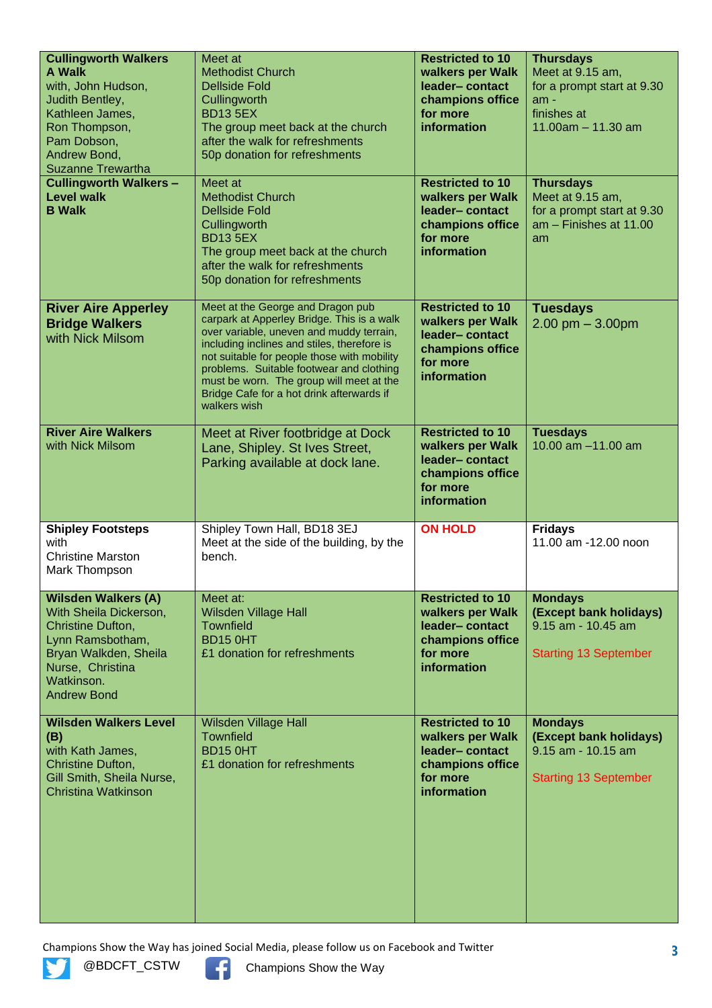| <b>Cullingworth Walkers</b><br><b>A Walk</b><br>with, John Hudson,<br>Judith Bentley,<br>Kathleen James,<br>Ron Thompson,<br>Pam Dobson,<br>Andrew Bond,<br><b>Suzanne Trewartha</b><br><b>Cullingworth Walkers -</b> | Meet at<br><b>Methodist Church</b><br><b>Dellside Fold</b><br>Cullingworth<br><b>BD13 5EX</b><br>The group meet back at the church<br>after the walk for refreshments<br>50p donation for refreshments<br>Meet at                                                                                                                                                              | <b>Restricted to 10</b><br>walkers per Walk<br>leader-contact<br>champions office<br>for more<br>information<br><b>Restricted to 10</b> | <b>Thursdays</b><br>Meet at 9.15 am,<br>for a prompt start at 9.30<br>$am -$<br>finishes at<br>$11.00am - 11.30 am$ |
|-----------------------------------------------------------------------------------------------------------------------------------------------------------------------------------------------------------------------|--------------------------------------------------------------------------------------------------------------------------------------------------------------------------------------------------------------------------------------------------------------------------------------------------------------------------------------------------------------------------------|-----------------------------------------------------------------------------------------------------------------------------------------|---------------------------------------------------------------------------------------------------------------------|
| <b>Level walk</b><br><b>B</b> Walk                                                                                                                                                                                    | <b>Methodist Church</b><br><b>Dellside Fold</b><br>Cullingworth<br><b>BD13 5EX</b><br>The group meet back at the church<br>after the walk for refreshments<br>50p donation for refreshments                                                                                                                                                                                    | walkers per Walk<br>leader-contact<br>champions office<br>for more<br>information                                                       | <b>Thursdays</b><br>Meet at 9.15 am,<br>for a prompt start at 9.30<br>$am - Finishes at 11.00$<br>am                |
| <b>River Aire Apperley</b><br><b>Bridge Walkers</b><br>with Nick Milsom                                                                                                                                               | Meet at the George and Dragon pub<br>carpark at Apperley Bridge. This is a walk<br>over variable, uneven and muddy terrain,<br>including inclines and stiles, therefore is<br>not suitable for people those with mobility<br>problems. Suitable footwear and clothing<br>must be worn. The group will meet at the<br>Bridge Cafe for a hot drink afterwards if<br>walkers wish | <b>Restricted to 10</b><br>walkers per Walk<br>leader-contact<br>champions office<br>for more<br>information                            | <b>Tuesdays</b><br>$2.00$ pm $-3.00$ pm                                                                             |
| <b>River Aire Walkers</b><br>with Nick Milsom                                                                                                                                                                         | Meet at River footbridge at Dock<br>Lane, Shipley. St Ives Street,<br>Parking available at dock lane.                                                                                                                                                                                                                                                                          | <b>Restricted to 10</b><br>walkers per Walk<br>leader-contact<br>champions office<br>for more<br>information                            | <b>Tuesdays</b><br>10.00 am -11.00 am                                                                               |
| <b>Shipley Footsteps</b><br>with<br><b>Christine Marston</b><br>Mark Thompson                                                                                                                                         | Shipley Town Hall, BD18 3EJ<br>Meet at the side of the building, by the<br>bench.                                                                                                                                                                                                                                                                                              | <b>ON HOLD</b>                                                                                                                          | <b>Fridays</b><br>11.00 am -12.00 noon                                                                              |
| <b>Wilsden Walkers (A)</b><br>With Sheila Dickerson,<br>Christine Dufton,<br>Lynn Ramsbotham,<br>Bryan Walkden, Sheila<br>Nurse, Christina<br>Watkinson.<br><b>Andrew Bond</b>                                        | Meet at:<br><b>Wilsden Village Hall</b><br><b>Townfield</b><br><b>BD15 0HT</b><br>£1 donation for refreshments                                                                                                                                                                                                                                                                 | <b>Restricted to 10</b><br>walkers per Walk<br>leader-contact<br>champions office<br>for more<br>information                            | <b>Mondays</b><br>(Except bank holidays)<br>9.15 am - 10.45 am<br><b>Starting 13 September</b>                      |
| <b>Wilsden Walkers Level</b><br>(B)<br>with Kath James,<br>Christine Dufton,<br>Gill Smith, Sheila Nurse,<br><b>Christina Watkinson</b>                                                                               | <b>Wilsden Village Hall</b><br><b>Townfield</b><br>BD15 0HT<br>£1 donation for refreshments                                                                                                                                                                                                                                                                                    | <b>Restricted to 10</b><br>walkers per Walk<br>leader-contact<br>champions office<br>for more<br><b>information</b>                     | <b>Mondays</b><br>(Except bank holidays)<br>9.15 am - 10.15 am<br><b>Starting 13 September</b>                      |

Champions Show the Way has joined Social Media, please follow us on Facebook and Twitter<br> **Champions Show the Way**<br>
Champions Show the Way